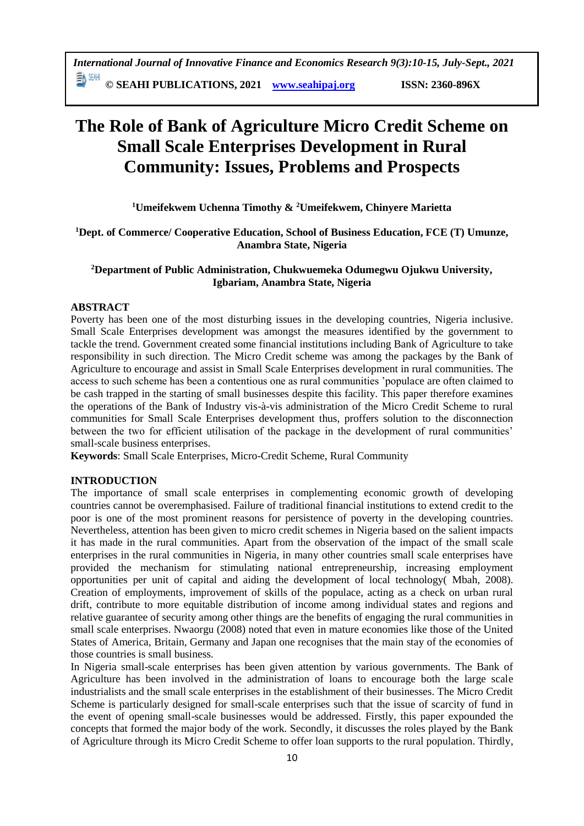**≣V** 26W **© SEAHI PUBLICATIONS, 2021 [www.seahipaj.org](http://www.seahipaj.org/) ISSN: 2360-896X**

# **The Role of Bank of Agriculture Micro Credit Scheme on Small Scale Enterprises Development in Rural Community: Issues, Problems and Prospects**

**<sup>1</sup>Umeifekwem Uchenna Timothy & <sup>2</sup>Umeifekwem, Chinyere Marietta**

**<sup>1</sup>Dept. of Commerce/ Cooperative Education, School of Business Education, FCE (T) Umunze, Anambra State, Nigeria**

# **<sup>2</sup>Department of Public Administration, Chukwuemeka Odumegwu Ojukwu University, Igbariam, Anambra State, Nigeria**

# **ABSTRACT**

Poverty has been one of the most disturbing issues in the developing countries, Nigeria inclusive. Small Scale Enterprises development was amongst the measures identified by the government to tackle the trend. Government created some financial institutions including Bank of Agriculture to take responsibility in such direction. The Micro Credit scheme was among the packages by the Bank of Agriculture to encourage and assist in Small Scale Enterprises development in rural communities. The access to such scheme has been a contentious one as rural communities 'populace are often claimed to be cash trapped in the starting of small businesses despite this facility. This paper therefore examines the operations of the Bank of Industry vis-à-vis administration of the Micro Credit Scheme to rural communities for Small Scale Enterprises development thus, proffers solution to the disconnection between the two for efficient utilisation of the package in the development of rural communities' small-scale business enterprises.

**Keywords**: Small Scale Enterprises, Micro-Credit Scheme, Rural Community

## **INTRODUCTION**

The importance of small scale enterprises in complementing economic growth of developing countries cannot be overemphasised. Failure of traditional financial institutions to extend credit to the poor is one of the most prominent reasons for persistence of poverty in the developing countries. Nevertheless, attention has been given to micro credit schemes in Nigeria based on the salient impacts it has made in the rural communities. Apart from the observation of the impact of the small scale enterprises in the rural communities in Nigeria, in many other countries small scale enterprises have provided the mechanism for stimulating national entrepreneurship, increasing employment opportunities per unit of capital and aiding the development of local technology( Mbah, 2008). Creation of employments, improvement of skills of the populace, acting as a check on urban rural drift, contribute to more equitable distribution of income among individual states and regions and relative guarantee of security among other things are the benefits of engaging the rural communities in small scale enterprises. Nwaorgu (2008) noted that even in mature economies like those of the United States of America, Britain, Germany and Japan one recognises that the main stay of the economies of those countries is small business.

In Nigeria small-scale enterprises has been given attention by various governments. The Bank of Agriculture has been involved in the administration of loans to encourage both the large scale industrialists and the small scale enterprises in the establishment of their businesses. The Micro Credit Scheme is particularly designed for small-scale enterprises such that the issue of scarcity of fund in the event of opening small-scale businesses would be addressed. Firstly, this paper expounded the concepts that formed the major body of the work. Secondly, it discusses the roles played by the Bank of Agriculture through its Micro Credit Scheme to offer loan supports to the rural population. Thirdly,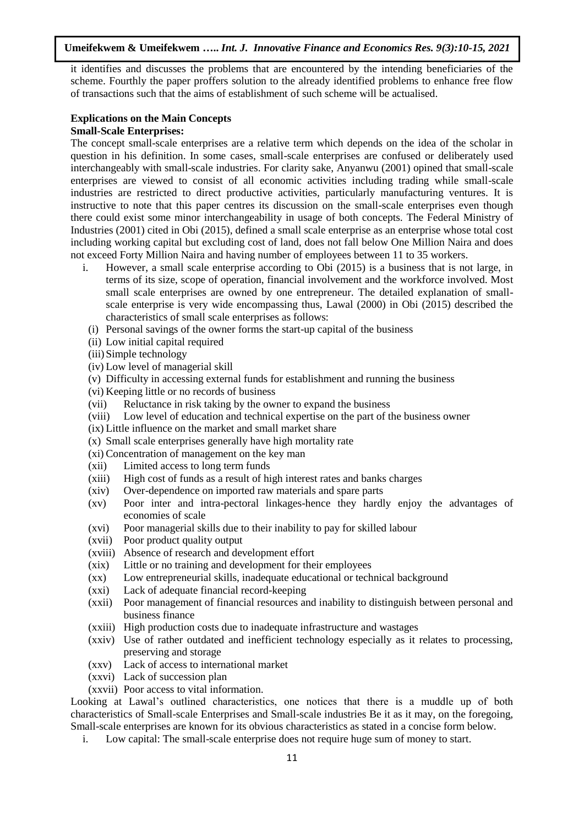it identifies and discusses the problems that are encountered by the intending beneficiaries of the scheme. Fourthly the paper proffers solution to the already identified problems to enhance free flow of transactions such that the aims of establishment of such scheme will be actualised.

#### **Explications on the Main Concepts Small-Scale Enterprises:**

The concept small-scale enterprises are a relative term which depends on the idea of the scholar in question in his definition. In some cases, small-scale enterprises are confused or deliberately used interchangeably with small-scale industries. For clarity sake, Anyanwu (2001) opined that small-scale enterprises are viewed to consist of all economic activities including trading while small-scale industries are restricted to direct productive activities, particularly manufacturing ventures. It is instructive to note that this paper centres its discussion on the small-scale enterprises even though there could exist some minor interchangeability in usage of both concepts. The Federal Ministry of Industries (2001) cited in Obi (2015), defined a small scale enterprise as an enterprise whose total cost including working capital but excluding cost of land, does not fall below One Million Naira and does not exceed Forty Million Naira and having number of employees between 11 to 35 workers.

- i. However, a small scale enterprise according to Obi (2015) is a business that is not large, in terms of its size, scope of operation, financial involvement and the workforce involved. Most small scale enterprises are owned by one entrepreneur. The detailed explanation of smallscale enterprise is very wide encompassing thus, Lawal (2000) in Obi (2015) described the characteristics of small scale enterprises as follows:
	- (i) Personal savings of the owner forms the start-up capital of the business
	- (ii) Low initial capital required
	- (iii)Simple technology
	- (iv) Low level of managerial skill
	- (v) Difficulty in accessing external funds for establishment and running the business
	- (vi) Keeping little or no records of business
	- (vii) Reluctance in risk taking by the owner to expand the business
	- (viii) Low level of education and technical expertise on the part of the business owner
	- (ix) Little influence on the market and small market share
	- (x) Small scale enterprises generally have high mortality rate
	- (xi) Concentration of management on the key man
	- (xii) Limited access to long term funds
	- (xiii) High cost of funds as a result of high interest rates and banks charges
	- (xiv) Over-dependence on imported raw materials and spare parts
	- (xv) Poor inter and intra-pectoral linkages-hence they hardly enjoy the advantages of economies of scale
	- (xvi) Poor managerial skills due to their inability to pay for skilled labour
	- (xvii) Poor product quality output
	- (xviii) Absence of research and development effort
	- (xix) Little or no training and development for their employees
	- (xx) Low entrepreneurial skills, inadequate educational or technical background
	- (xxi) Lack of adequate financial record-keeping
	- (xxii) Poor management of financial resources and inability to distinguish between personal and business finance
	- (xxiii) High production costs due to inadequate infrastructure and wastages
	- (xxiv) Use of rather outdated and inefficient technology especially as it relates to processing, preserving and storage
	- (xxv) Lack of access to international market
	- (xxvi) Lack of succession plan
	- (xxvii) Poor access to vital information.

Looking at Lawal's outlined characteristics, one notices that there is a muddle up of both characteristics of Small-scale Enterprises and Small-scale industries Be it as it may, on the foregoing, Small-scale enterprises are known for its obvious characteristics as stated in a concise form below.

i. Low capital: The small-scale enterprise does not require huge sum of money to start.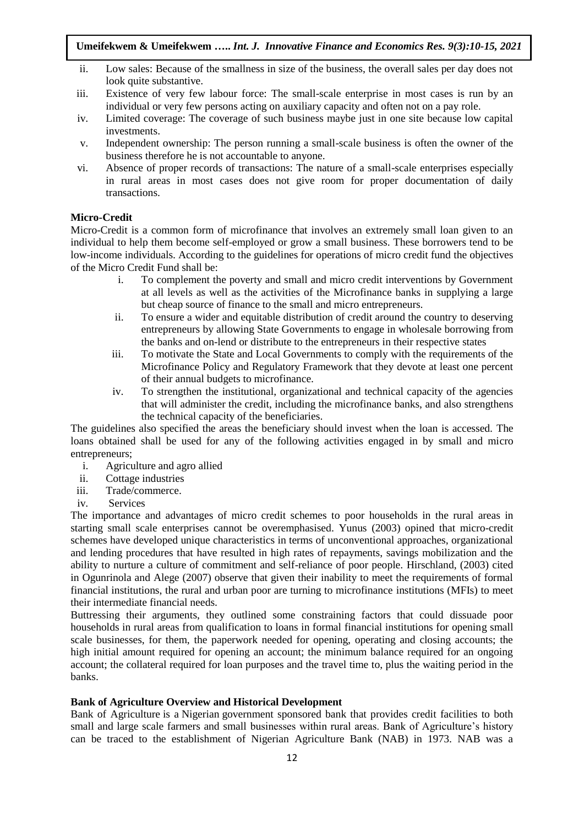- ii. Low sales: Because of the smallness in size of the business, the overall sales per day does not look quite substantive.
- iii. Existence of very few labour force: The small-scale enterprise in most cases is run by an individual or very few persons acting on auxiliary capacity and often not on a pay role.
- iv. Limited coverage: The coverage of such business maybe just in one site because low capital investments.
- v. Independent ownership: The person running a small-scale business is often the owner of the business therefore he is not accountable to anyone.
- vi. Absence of proper records of transactions: The nature of a small-scale enterprises especially in rural areas in most cases does not give room for proper documentation of daily transactions.

## **Micro-Credit**

Micro-Credit is a common form of microfinance that involves an extremely small loan given to an individual to help them become self-employed or grow a small business. These borrowers tend to be low-income individuals. According to the guidelines for operations of micro credit fund the objectives of the Micro Credit Fund shall be:

- i. To complement the poverty and small and micro credit interventions by Government at all levels as well as the activities of the Microfinance banks in supplying a large but cheap source of finance to the small and micro entrepreneurs.
- ii. To ensure a wider and equitable distribution of credit around the country to deserving entrepreneurs by allowing State Governments to engage in wholesale borrowing from the banks and on-lend or distribute to the entrepreneurs in their respective states
- iii. To motivate the State and Local Governments to comply with the requirements of the Microfinance Policy and Regulatory Framework that they devote at least one percent of their annual budgets to microfinance.
- iv. To strengthen the institutional, organizational and technical capacity of the agencies that will administer the credit, including the microfinance banks, and also strengthens the technical capacity of the beneficiaries.

The guidelines also specified the areas the beneficiary should invest when the loan is accessed. The loans obtained shall be used for any of the following activities engaged in by small and micro entrepreneurs;

- i. Agriculture and agro allied
- ii. Cottage industries
- iii. Trade/commerce.
- iv. Services

The importance and advantages of micro credit schemes to poor households in the rural areas in starting small scale enterprises cannot be overemphasised. Yunus (2003) opined that micro-credit schemes have developed unique characteristics in terms of unconventional approaches, organizational and lending procedures that have resulted in high rates of repayments, savings mobilization and the ability to nurture a culture of commitment and self-reliance of poor people. Hirschland, (2003) cited in Ogunrinola and Alege (2007) observe that given their inability to meet the requirements of formal financial institutions, the rural and urban poor are turning to microfinance institutions (MFIs) to meet their intermediate financial needs.

Buttressing their arguments, they outlined some constraining factors that could dissuade poor households in rural areas from qualification to loans in formal financial institutions for opening small scale businesses, for them, the paperwork needed for opening, operating and closing accounts; the high initial amount required for opening an account; the minimum balance required for an ongoing account; the collateral required for loan purposes and the travel time to, plus the waiting period in the banks.

## **Bank of Agriculture Overview and Historical Development**

Bank of Agriculture is a Nigerian government sponsored bank that provides credit facilities to both small and large scale farmers and small businesses within rural areas. Bank of Agriculture's history can be traced to the establishment of Nigerian Agriculture Bank (NAB) in 1973. NAB was a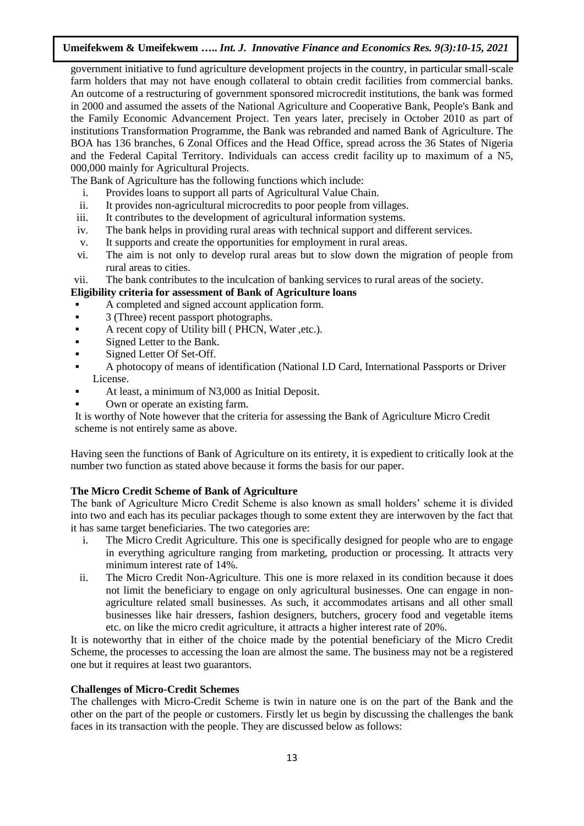government initiative to fund agriculture development projects in the country, in particular small-scale farm holders that may not have enough collateral to obtain credit facilities from commercial banks. An outcome of a restructuring of government sponsored microcredit institutions, the bank was formed in 2000 and assumed the assets of the National Agriculture and Cooperative Bank, People's Bank and the Family Economic Advancement Project. Ten years later, precisely in October 2010 as part of institutions Transformation Programme, the Bank was rebranded and named Bank of Agriculture. The BOA has 136 branches, 6 Zonal Offices and the Head Office, spread across the 36 States of Nigeria and the Federal Capital Territory. Individuals can access credit facility up to maximum of a N5, 000,000 mainly for Agricultural Projects.

The Bank of Agriculture has the following functions which include:

- i. Provides loans to support all parts of Agricultural Value Chain.
- ii. It provides non-agricultural microcredits to poor people from villages.
- iii. It contributes to the development of agricultural information systems.
- iv. The bank helps in providing rural areas with technical support and different services.
- v. It supports and create the opportunities for employment in rural areas.
- vi. The aim is not only to develop rural areas but to slow down the migration of people from rural areas to cities.
- vii. The bank contributes to the inculcation of banking services to rural areas of the society.

# **Eligibility criteria for assessment of Bank of Agriculture loans**

- A completed and signed account application form.
- **3** (Three) recent passport photographs.
- A recent copy of Utility bill ( PHCN, Water ,etc.).
- Signed Letter to the Bank.
- Signed Letter Of Set-Off.
- A photocopy of means of identification (National I.D Card, International Passports or Driver License.
- At least, a minimum of N3,000 as Initial Deposit.
- Own or operate an existing farm.

It is worthy of Note however that the criteria for assessing the Bank of Agriculture Micro Credit scheme is not entirely same as above.

Having seen the functions of Bank of Agriculture on its entirety, it is expedient to critically look at the number two function as stated above because it forms the basis for our paper.

## **The Micro Credit Scheme of Bank of Agriculture**

The bank of Agriculture Micro Credit Scheme is also known as small holders' scheme it is divided into two and each has its peculiar packages though to some extent they are interwoven by the fact that it has same target beneficiaries. The two categories are:

- i. The Micro Credit Agriculture. This one is specifically designed for people who are to engage in everything agriculture ranging from marketing, production or processing. It attracts very minimum interest rate of 14%.
- ii. The Micro Credit Non-Agriculture. This one is more relaxed in its condition because it does not limit the beneficiary to engage on only agricultural businesses. One can engage in nonagriculture related small businesses. As such, it accommodates artisans and all other small businesses like hair dressers, fashion designers, butchers, grocery food and vegetable items etc. on like the micro credit agriculture, it attracts a higher interest rate of 20%.

It is noteworthy that in either of the choice made by the potential beneficiary of the Micro Credit Scheme, the processes to accessing the loan are almost the same. The business may not be a registered one but it requires at least two guarantors.

## **Challenges of Micro-Credit Schemes**

The challenges with Micro-Credit Scheme is twin in nature one is on the part of the Bank and the other on the part of the people or customers. Firstly let us begin by discussing the challenges the bank faces in its transaction with the people. They are discussed below as follows: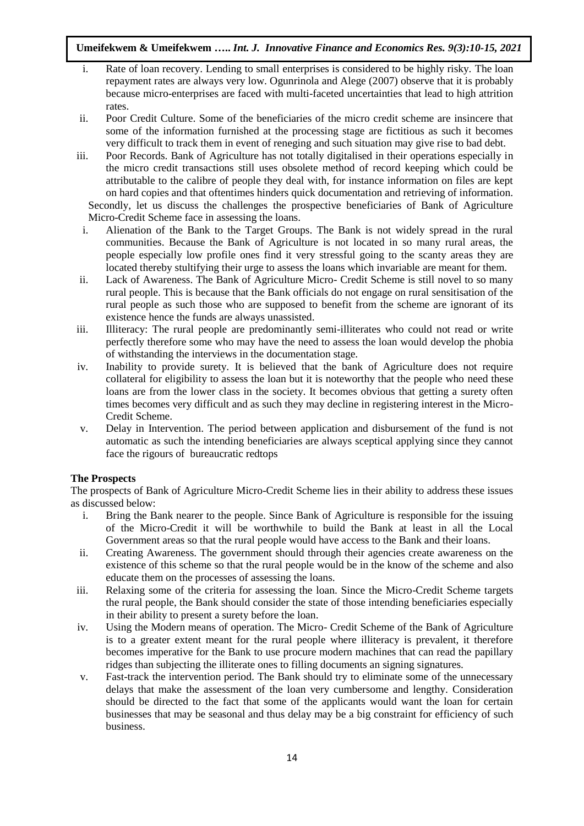- i. Rate of loan recovery. Lending to small enterprises is considered to be highly risky. The loan repayment rates are always very low. Ogunrinola and Alege (2007) observe that it is probably because micro-enterprises are faced with multi-faceted uncertainties that lead to high attrition rates.
- ii. Poor Credit Culture. Some of the beneficiaries of the micro credit scheme are insincere that some of the information furnished at the processing stage are fictitious as such it becomes very difficult to track them in event of reneging and such situation may give rise to bad debt.
- iii. Poor Records. Bank of Agriculture has not totally digitalised in their operations especially in the micro credit transactions still uses obsolete method of record keeping which could be attributable to the calibre of people they deal with, for instance information on files are kept on hard copies and that oftentimes hinders quick documentation and retrieving of information. Secondly, let us discuss the challenges the prospective beneficiaries of Bank of Agriculture Micro-Credit Scheme face in assessing the loans.
- i. Alienation of the Bank to the Target Groups. The Bank is not widely spread in the rural communities. Because the Bank of Agriculture is not located in so many rural areas, the people especially low profile ones find it very stressful going to the scanty areas they are located thereby stultifying their urge to assess the loans which invariable are meant for them.
- ii. Lack of Awareness. The Bank of Agriculture Micro- Credit Scheme is still novel to so many rural people. This is because that the Bank officials do not engage on rural sensitisation of the rural people as such those who are supposed to benefit from the scheme are ignorant of its existence hence the funds are always unassisted.
- iii. Illiteracy: The rural people are predominantly semi-illiterates who could not read or write perfectly therefore some who may have the need to assess the loan would develop the phobia of withstanding the interviews in the documentation stage.
- iv. Inability to provide surety. It is believed that the bank of Agriculture does not require collateral for eligibility to assess the loan but it is noteworthy that the people who need these loans are from the lower class in the society. It becomes obvious that getting a surety often times becomes very difficult and as such they may decline in registering interest in the Micro-Credit Scheme.
- v. Delay in Intervention. The period between application and disbursement of the fund is not automatic as such the intending beneficiaries are always sceptical applying since they cannot face the rigours of bureaucratic redtops

## **The Prospects**

The prospects of Bank of Agriculture Micro-Credit Scheme lies in their ability to address these issues as discussed below:

- i. Bring the Bank nearer to the people. Since Bank of Agriculture is responsible for the issuing of the Micro-Credit it will be worthwhile to build the Bank at least in all the Local Government areas so that the rural people would have access to the Bank and their loans.
- ii. Creating Awareness. The government should through their agencies create awareness on the existence of this scheme so that the rural people would be in the know of the scheme and also educate them on the processes of assessing the loans.
- iii. Relaxing some of the criteria for assessing the loan. Since the Micro-Credit Scheme targets the rural people, the Bank should consider the state of those intending beneficiaries especially in their ability to present a surety before the loan.
- iv. Using the Modern means of operation. The Micro- Credit Scheme of the Bank of Agriculture is to a greater extent meant for the rural people where illiteracy is prevalent, it therefore becomes imperative for the Bank to use procure modern machines that can read the papillary ridges than subjecting the illiterate ones to filling documents an signing signatures.
- v. Fast-track the intervention period. The Bank should try to eliminate some of the unnecessary delays that make the assessment of the loan very cumbersome and lengthy. Consideration should be directed to the fact that some of the applicants would want the loan for certain businesses that may be seasonal and thus delay may be a big constraint for efficiency of such business.